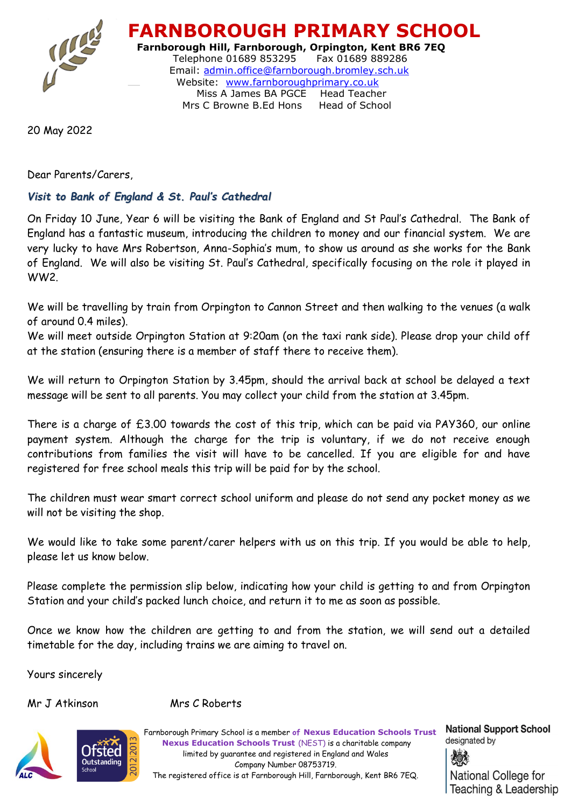

 **FARNBOROUGH PRIMARY SCHOOL Farnborough Hill, Farnborough, Orpington, Kent BR6 7EQ** Telephone 01689 853295 Fax 01689 889286 Email: [admin.office@farnborough.bromley.sch.uk](mailto:admin.office@farnborough.bromley.sch.uk) Website: [www.farnboroughprimary.co.uk](http://www.farnboroughprimary.co.uk/)  Miss A James BA PGCE Head Teacher Mrs C Browne B.Ed Hons Head of School

20 May 2022

Dear Parents/Carers,

## *Visit to Bank of England & St. Paul's Cathedral*

On Friday 10 June, Year 6 will be visiting the Bank of England and St Paul's Cathedral. The Bank of England has a fantastic museum, introducing the children to money and our financial system. We are very lucky to have Mrs Robertson, Anna-Sophia's mum, to show us around as she works for the Bank of England. We will also be visiting St. Paul's Cathedral, specifically focusing on the role it played in WW2.

We will be travelling by train from Orpington to Cannon Street and then walking to the venues (a walk of around 0.4 miles).

We will meet outside Orpington Station at 9:20am (on the taxi rank side). Please drop your child off at the station (ensuring there is a member of staff there to receive them).

We will return to Orpington Station by 3.45pm, should the arrival back at school be delayed a text message will be sent to all parents. You may collect your child from the station at 3.45pm.

There is a charge of £3.00 towards the cost of this trip, which can be paid via PAY360, our online payment system. Although the charge for the trip is voluntary, if we do not receive enough contributions from families the visit will have to be cancelled. If you are eligible for and have registered for free school meals this trip will be paid for by the school.

The children must wear smart correct school uniform and please do not send any pocket money as we will not be visiting the shop.

We would like to take some parent/carer helpers with us on this trip. If you would be able to help, please let us know below.

Please complete the permission slip below, indicating how your child is getting to and from Orpington Station and your child's packed lunch choice, and return it to me as soon as possible.

Once we know how the children are getting to and from the station, we will send out a detailed timetable for the day, including trains we are aiming to travel on.

Yours sincerely

Mr J Atkinson Mrs C Roberts



 Farnborough Primary School is a member **of Nexus Education Schools Trust Nexus Education Schools Trust** (NEST) is a charitable company limited by guarantee and registered in England and Wales Company Number 08753719. The registered office is at Farnborough Hill, Farnborough, Kent BR6 7EQ.

**National Support School** designated by